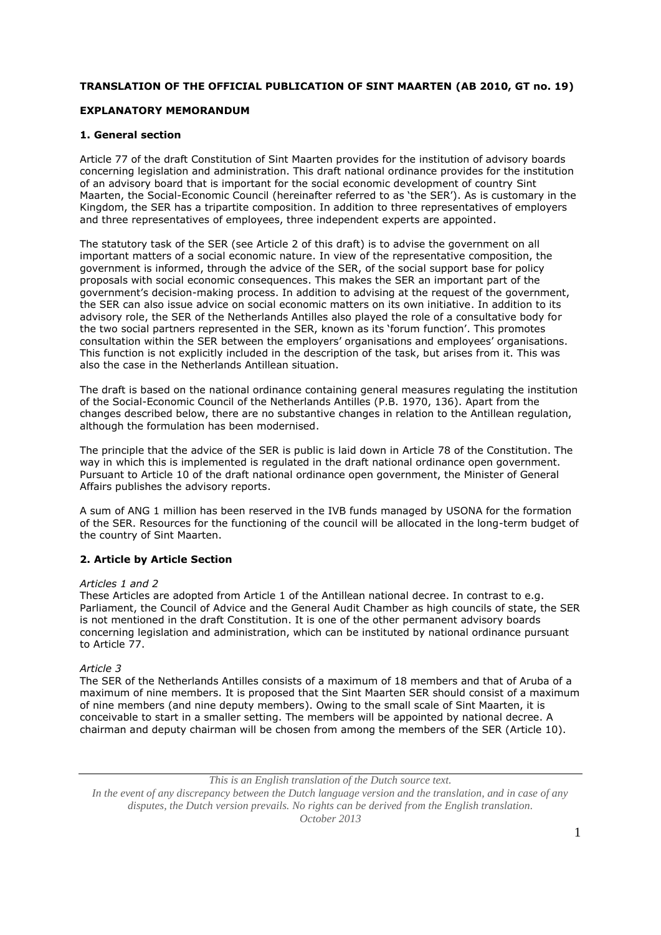# **TRANSLATION OF THE OFFICIAL PUBLICATION OF SINT MAARTEN (AB 2010, GT no. 19)**

# **EXPLANATORY MEMORANDUM**

# **1. General section**

Article 77 of the draft Constitution of Sint Maarten provides for the institution of advisory boards concerning legislation and administration. This draft national ordinance provides for the institution of an advisory board that is important for the social economic development of country Sint Maarten, the Social-Economic Council (hereinafter referred to as 'the SER'). As is customary in the Kingdom, the SER has a tripartite composition. In addition to three representatives of employers and three representatives of employees, three independent experts are appointed.

The statutory task of the SER (see Article 2 of this draft) is to advise the government on all important matters of a social economic nature. In view of the representative composition, the government is informed, through the advice of the SER, of the social support base for policy proposals with social economic consequences. This makes the SER an important part of the government's decision-making process. In addition to advising at the request of the government, the SER can also issue advice on social economic matters on its own initiative. In addition to its advisory role, the SER of the Netherlands Antilles also played the role of a consultative body for the two social partners represented in the SER, known as its 'forum function'. This promotes consultation within the SER between the employers' organisations and employees' organisations. This function is not explicitly included in the description of the task, but arises from it. This was also the case in the Netherlands Antillean situation.

The draft is based on the national ordinance containing general measures regulating the institution of the Social-Economic Council of the Netherlands Antilles (P.B. 1970, 136). Apart from the changes described below, there are no substantive changes in relation to the Antillean regulation, although the formulation has been modernised.

The principle that the advice of the SER is public is laid down in Article 78 of the Constitution. The way in which this is implemented is regulated in the draft national ordinance open government. Pursuant to Article 10 of the draft national ordinance open government, the Minister of General Affairs publishes the advisory reports.

A sum of ANG 1 million has been reserved in the IVB funds managed by USONA for the formation of the SER. Resources for the functioning of the council will be allocated in the long-term budget of the country of Sint Maarten.

# **2. Article by Article Section**

# *Articles 1 and 2*

These Articles are adopted from Article 1 of the Antillean national decree. In contrast to e.g. Parliament, the Council of Advice and the General Audit Chamber as high councils of state, the SER is not mentioned in the draft Constitution. It is one of the other permanent advisory boards concerning legislation and administration, which can be instituted by national ordinance pursuant to Article 77.

# *Article 3*

The SER of the Netherlands Antilles consists of a maximum of 18 members and that of Aruba of a maximum of nine members. It is proposed that the Sint Maarten SER should consist of a maximum of nine members (and nine deputy members). Owing to the small scale of Sint Maarten, it is conceivable to start in a smaller setting. The members will be appointed by national decree. A chairman and deputy chairman will be chosen from among the members of the SER (Article 10).

*This is an English translation of the Dutch source text.*

*In the event of any discrepancy between the Dutch language version and the translation, and in case of any disputes, the Dutch version prevails. No rights can be derived from the English translation. October 2013*